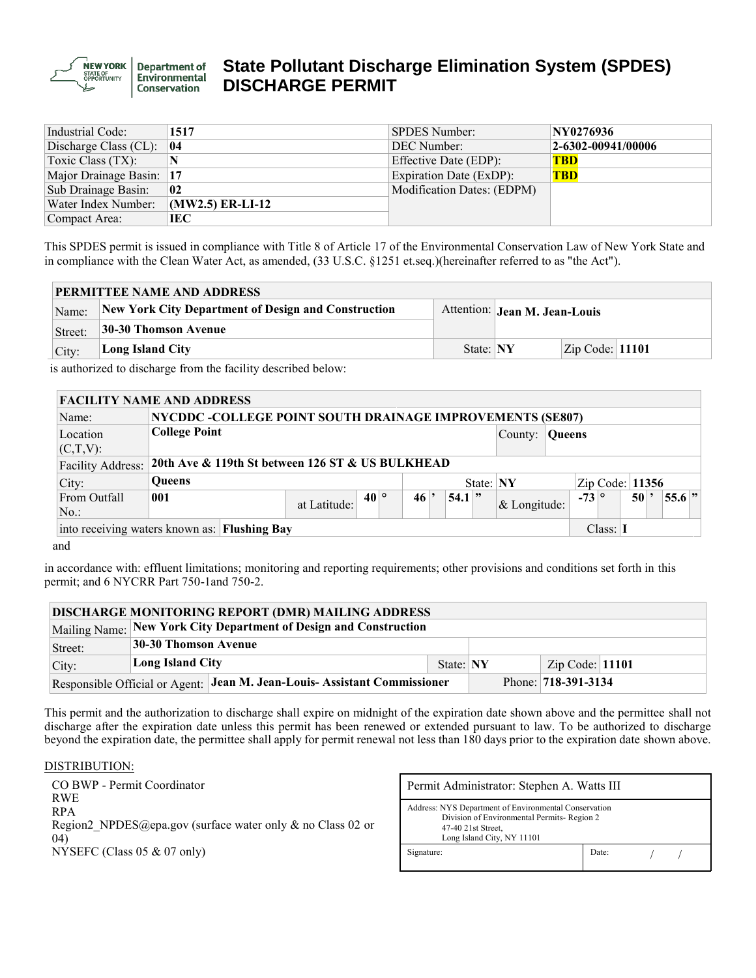

# **State Pollutant Discharge Elimination System (SPDES) DISCHARGE PERMIT**

| Industrial Code:         | 1517               | <b>SPDES Number:</b>       | NY0276936          |
|--------------------------|--------------------|----------------------------|--------------------|
| Discharge Class (CL):    | 04                 | DEC Number:                | 2-6302-00941/00006 |
| Toxic Class (TX):        | N                  | Effective Date (EDP):      | <b>TBD</b>         |
| Major Drainage Basin: 17 |                    | Expiration Date (ExDP):    | <b>TBD</b>         |
| Sub Drainage Basin:      | 02                 | Modification Dates: (EDPM) |                    |
| Water Index Number:      | $(MW2.5)$ ER-LI-12 |                            |                    |
| Compact Area:            | IEC                |                            |                    |

This SPDES permit is issued in compliance with Title 8 of Article 17 of the Environmental Conservation Law of New York State and in compliance with the Clean Water Act, as amended, (33 U.S.C. §1251 et.seq.)(hereinafter referred to as "the Act").

| <b>PERMITTEE NAME AND ADDRESS</b> |                                                                                      |           |  |                           |  |  |  |  |  |  |  |  |
|-----------------------------------|--------------------------------------------------------------------------------------|-----------|--|---------------------------|--|--|--|--|--|--|--|--|
| Name:                             | New York City Department of Design and Construction<br>Attention: Jean M. Jean-Louis |           |  |                           |  |  |  |  |  |  |  |  |
| Street:                           | 30-30 Thomson Avenue                                                                 |           |  |                           |  |  |  |  |  |  |  |  |
| City:                             | Long Island City                                                                     | State: NY |  | $\text{Zip Code}:  11101$ |  |  |  |  |  |  |  |  |

is authorized to discharge from the facility described below:

| <b>FACILITY NAME AND ADDRESS</b> |                                                                       |                                                           |              |  |           |  |          |  |              |                   |                  |  |    |  |            |  |
|----------------------------------|-----------------------------------------------------------------------|-----------------------------------------------------------|--------------|--|-----------|--|----------|--|--------------|-------------------|------------------|--|----|--|------------|--|
| Name:                            |                                                                       | NYCDDC -COLLEGE POINT SOUTH DRAINAGE IMPROVEMENTS (SE807) |              |  |           |  |          |  |              |                   |                  |  |    |  |            |  |
| Location                         | <b>College Point</b>                                                  |                                                           |              |  |           |  |          |  | County:      | <b>Queens</b>     |                  |  |    |  |            |  |
| $(C,T,V)$ :                      |                                                                       |                                                           |              |  |           |  |          |  |              |                   |                  |  |    |  |            |  |
| <b>Facility Address:</b>         |                                                                       | 20th Ave & 119th St between 126 ST & US BULKHEAD          |              |  |           |  |          |  |              |                   |                  |  |    |  |            |  |
| City:                            | <b>Oueens</b>                                                         |                                                           |              |  | State: NY |  |          |  |              | Zip Code: $11356$ |                  |  |    |  |            |  |
| From Outfall                     | 001                                                                   | at Latitude:                                              | $40^{\circ}$ |  | 46        |  | $54.1$ " |  | & Longitude: |                   | $-73$ $^{\circ}$ |  | 50 |  | $ 55.6 $ " |  |
| $No.$ :                          |                                                                       |                                                           |              |  |           |  |          |  |              |                   |                  |  |    |  |            |  |
|                                  | into receiving waters known as: Flushing Bay<br>Class: $\blacksquare$ |                                                           |              |  |           |  |          |  |              |                   |                  |  |    |  |            |  |

and

in accordance with: effluent limitations; monitoring and reporting requirements; other provisions and conditions set forth in this permit; and 6 NYCRR Part 750-1and 750-2.

| <b>DISCHARGE MONITORING REPORT (DMR) MAILING ADDRESS</b> |                      |                                                                           |           |                     |                 |  |  |  |  |  |  |  |  |  |
|----------------------------------------------------------|----------------------|---------------------------------------------------------------------------|-----------|---------------------|-----------------|--|--|--|--|--|--|--|--|--|
|                                                          |                      | Mailing Name: New York City Department of Design and Construction         |           |                     |                 |  |  |  |  |  |  |  |  |  |
| Street:                                                  | 30-30 Thomson Avenue |                                                                           |           |                     |                 |  |  |  |  |  |  |  |  |  |
| City:                                                    | Long Island City     |                                                                           | State: NY |                     | Zip Code: 11101 |  |  |  |  |  |  |  |  |  |
|                                                          |                      | Responsible Official or Agent: Jean M. Jean-Louis- Assistant Commissioner |           | Phone: 718-391-3134 |                 |  |  |  |  |  |  |  |  |  |

This permit and the authorization to discharge shall expire on midnight of the expiration date shown above and the permittee shall not discharge after the expiration date unless this permit has been renewed or extended pursuant to law. To be authorized to discharge beyond the expiration date, the permittee shall apply for permit renewal not less than 180 days prior to the expiration date shown above.

#### DISTRIBUTION:

CO BWP - Permit Coordinator RWE RPA Region2 NPDES@epa.gov (surface water only & no Class 02 or 04) NYSEFC (Class 05 & 07 only)

| Permit Administrator: Stephen A. Watts III                                                                                                              |       |  |  |  |  |  |  |  |  |  |
|---------------------------------------------------------------------------------------------------------------------------------------------------------|-------|--|--|--|--|--|--|--|--|--|
| Address: NYS Department of Environmental Conservation<br>Division of Environmental Permits-Region 2<br>47-40 21st Street,<br>Long Island City, NY 11101 |       |  |  |  |  |  |  |  |  |  |
| Signature:                                                                                                                                              | Date: |  |  |  |  |  |  |  |  |  |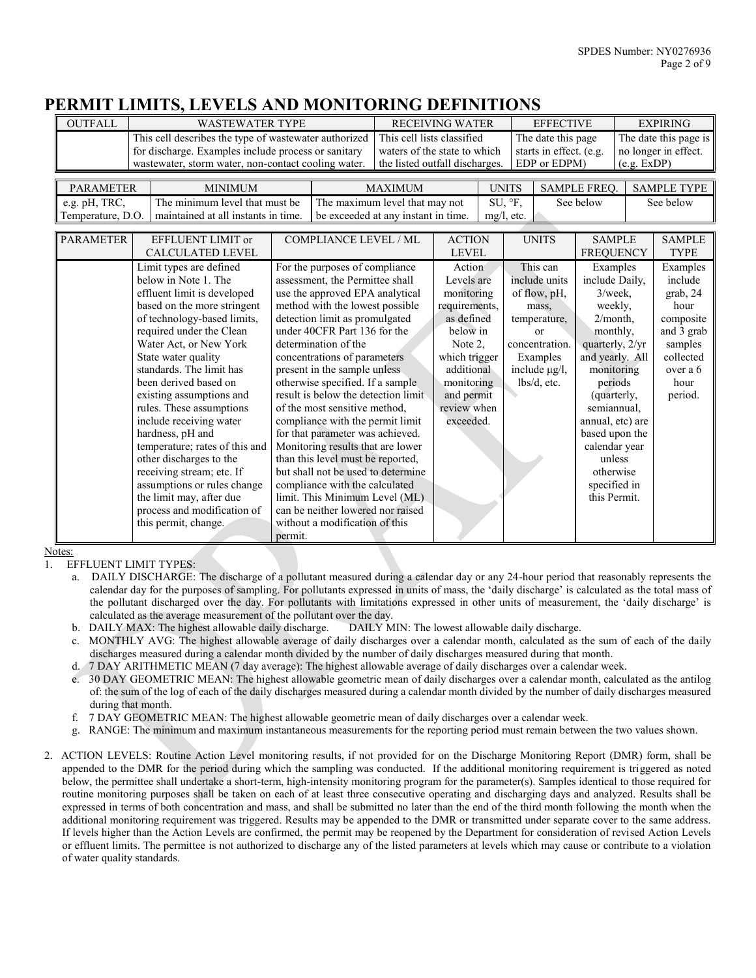## **PERMIT LIMITS, LEVELS AND MONITORING DEFINITIONS**

| <b>OUTFALL</b>                                                   |                             | <b>WASTEWATER TYPE</b>                                |                                   |                                                                      |                                | <b>RECEIVING WATER</b>        |               |                                   | <b>EFFECTIVE</b>        |                                    | <b>EXPIRING</b> |                              |  |
|------------------------------------------------------------------|-----------------------------|-------------------------------------------------------|-----------------------------------|----------------------------------------------------------------------|--------------------------------|-------------------------------|---------------|-----------------------------------|-------------------------|------------------------------------|-----------------|------------------------------|--|
|                                                                  |                             | This cell describes the type of wastewater authorized |                                   |                                                                      | This cell lists classified     |                               |               |                                   | The date this page      |                                    |                 | The date this page is        |  |
|                                                                  |                             | for discharge. Examples include process or sanitary   |                                   |                                                                      | waters of the state to which   |                               |               |                                   | starts in effect. (e.g. |                                    |                 | no longer in effect.         |  |
|                                                                  |                             | wastewater, storm water, non-contact cooling water.   |                                   |                                                                      | the listed outfall discharges. |                               |               |                                   | EDP or EDPM)            |                                    | (e.g. EXP)      |                              |  |
|                                                                  |                             |                                                       |                                   |                                                                      |                                |                               |               |                                   |                         |                                    |                 |                              |  |
| <b>PARAMETER</b><br><b>MINIMUM</b>                               |                             |                                                       |                                   |                                                                      | <b>MAXIMUM</b>                 |                               |               | <b>UNITS</b>                      |                         | SAMPLE FREQ.                       |                 | <b>SAMPLE TYPE</b>           |  |
| The minimum level that must be<br>e.g. pH, TRC,                  |                             |                                                       |                                   | The maximum level that may not                                       |                                |                               |               | SU, °F,                           |                         | See below                          |                 | See below                    |  |
| Temperature, D.O.                                                |                             | maintained at all instants in time.                   |                                   | be exceeded at any instant in time.                                  |                                |                               | $mg/l$ , etc. |                                   |                         |                                    |                 |                              |  |
|                                                                  |                             |                                                       |                                   |                                                                      |                                |                               |               |                                   |                         |                                    |                 |                              |  |
| <b>PARAMETER</b><br>EFFLUENT LIMIT or<br><b>CALCULATED LEVEL</b> |                             |                                                       | <b>COMPLIANCE LEVEL / ML</b>      |                                                                      |                                | <b>ACTION</b><br><b>LEVEL</b> |               |                                   | <b>UNITS</b>            | <b>SAMPLE</b><br><b>FREQUENCY</b>  |                 | <b>SAMPLE</b><br><b>TYPE</b> |  |
|                                                                  |                             |                                                       | For the purposes of compliance    |                                                                      |                                | Action                        |               |                                   | This can                |                                    |                 |                              |  |
| Limit types are defined<br>below in Note 1. The                  |                             |                                                       |                                   |                                                                      |                                | Levels are                    |               |                                   | include units           | Examples                           |                 | Examples<br>include          |  |
|                                                                  | effluent limit is developed |                                                       |                                   | assessment, the Permittee shall<br>use the approved EPA analytical   |                                |                               |               |                                   | of flow, pH,            | include Daily,<br>$3$ /week,       |                 | grab, 24                     |  |
|                                                                  |                             | based on the more stringent                           | method with the lowest possible   |                                                                      |                                | monitoring<br>requirements,   |               |                                   | mass,                   | weekly,                            |                 | hour                         |  |
|                                                                  | of technology-based limits, |                                                       |                                   | detection limit as promulgated                                       |                                |                               | as defined    |                                   | temperature,            | 2/month.                           |                 | composite                    |  |
|                                                                  |                             | required under the Clean                              | under 40CFR Part 136 for the      |                                                                      |                                | below in                      |               | or                                |                         | monthly.                           |                 | and 3 grab                   |  |
|                                                                  |                             | Water Act, or New York                                | determination of the              |                                                                      |                                | Note 2.                       |               | quarterly, 2/yr<br>concentration. |                         |                                    | samples         |                              |  |
|                                                                  |                             | State water quality                                   | concentrations of parameters      |                                                                      |                                | which trigger                 |               | Examples                          |                         | and yearly. All                    |                 | collected                    |  |
|                                                                  |                             | standards. The limit has                              |                                   | present in the sample unless                                         |                                | additional                    |               | include $\mu$ g/l,                |                         | monitoring                         |                 | over a 6                     |  |
|                                                                  |                             | been derived based on                                 |                                   | otherwise specified. If a sample                                     |                                | monitoring                    |               |                                   | $lbs/d$ , etc.          | periods                            |                 | hour                         |  |
|                                                                  |                             | existing assumptions and                              |                                   | result is below the detection limit                                  |                                | and permit                    |               |                                   |                         | (quarterly,                        |                 | period.                      |  |
|                                                                  |                             | rules. These assumptions                              |                                   | of the most sensitive method,                                        |                                | review when                   |               |                                   |                         | semiannual.                        |                 |                              |  |
|                                                                  |                             | include receiving water<br>hardness, pH and           |                                   | compliance with the permit limit<br>for that parameter was achieved. |                                | exceeded.                     |               |                                   |                         | annual, etc) are<br>based upon the |                 |                              |  |
|                                                                  |                             | temperature; rates of this and                        |                                   | Monitoring results that are lower                                    |                                |                               |               |                                   |                         | calendar year                      |                 |                              |  |
|                                                                  |                             | other discharges to the                               |                                   | than this level must be reported,                                    |                                |                               |               |                                   |                         | unless                             |                 |                              |  |
|                                                                  |                             | receiving stream; etc. If                             |                                   | but shall not be used to determine                                   |                                |                               |               |                                   |                         | otherwise                          |                 |                              |  |
|                                                                  |                             | assumptions or rules change                           | compliance with the calculated    |                                                                      |                                |                               |               |                                   |                         | specified in                       |                 |                              |  |
|                                                                  |                             | the limit may, after due                              | limit. This Minimum Level (ML)    |                                                                      |                                |                               |               |                                   |                         | this Permit.                       |                 |                              |  |
|                                                                  |                             | process and modification of                           | can be neither lowered nor raised |                                                                      |                                |                               |               |                                   |                         |                                    |                 |                              |  |
|                                                                  |                             | this permit, change.                                  |                                   | without a modification of this                                       |                                |                               |               |                                   |                         |                                    |                 |                              |  |
|                                                                  |                             |                                                       | permit.                           |                                                                      |                                |                               |               |                                   |                         |                                    |                 |                              |  |

Notes:

1. EFFLUENT LIMIT TYPES:

- a. DAILY DISCHARGE: The discharge of a pollutant measured during a calendar day or any 24-hour period that reasonably represents the calendar day for the purposes of sampling. For pollutants expressed in units of mass, the 'daily discharge' is calculated as the total mass of the pollutant discharged over the day. For pollutants with limitations expressed in other units of measurement, the 'daily discharge' is calculated as the average measurement of the pollutant over the day.
- b. DAILY MAX: The highest allowable daily discharge. DAILY MIN: The lowest allowable daily discharge.
- c. MONTHLY AVG: The highest allowable average of daily discharges over a calendar month, calculated as the sum of each of the daily discharges measured during a calendar month divided by the number of daily discharges measured during that month.
- d. 7 DAY ARITHMETIC MEAN (7 day average): The highest allowable average of daily discharges over a calendar week.
- e. 30 DAY GEOMETRIC MEAN: The highest allowable geometric mean of daily discharges over a calendar month, calculated as the antilog of: the sum of the log of each of the daily discharges measured during a calendar month divided by the number of daily discharges measured during that month.
- f. 7 DAY GEOMETRIC MEAN: The highest allowable geometric mean of daily discharges over a calendar week.
- g. RANGE: The minimum and maximum instantaneous measurements for the reporting period must remain between the two values shown.
- 2. ACTION LEVELS: Routine Action Level monitoring results, if not provided for on the Discharge Monitoring Report (DMR) form, shall be appended to the DMR for the period during which the sampling was conducted. If the additional monitoring requirement is triggered as noted below, the permittee shall undertake a short-term, high-intensity monitoring program for the parameter(s). Samples identical to those required for routine monitoring purposes shall be taken on each of at least three consecutive operating and discharging days and analyzed. Results shall be expressed in terms of both concentration and mass, and shall be submitted no later than the end of the third month following the month when the additional monitoring requirement was triggered. Results may be appended to the DMR or transmitted under separate cover to the same address. If levels higher than the Action Levels are confirmed, the permit may be reopened by the Department for consideration of revised Action Levels or effluent limits. The permittee is not authorized to discharge any of the listed parameters at levels which may cause or contribute to a violation of water quality standards.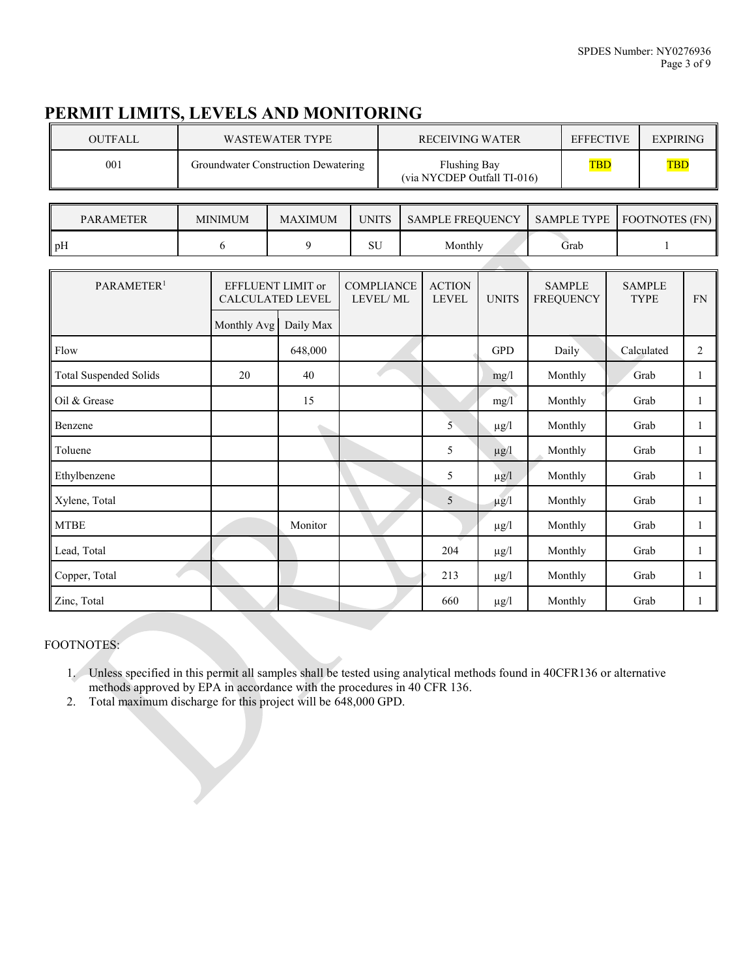# **PERMIT LIMITS, LEVELS AND MONITORING**

| <b>OUTFALL</b> | WASTEWATER TYPE                     | <b>RECEIVING WATER</b>                             | <b>EFFECTIVE</b> | EXPIRING   |
|----------------|-------------------------------------|----------------------------------------------------|------------------|------------|
| 001            | Groundwater Construction Dewatering | <b>Flushing Bay</b><br>(via NYCDEP Outfall TI-016) | <b>TBD</b>       | <b>TBD</b> |

| <b>PARAMETER</b> | MINIMUM |  |    | <b>SAMPLE FREOUENCY</b> | SAMPLE TYPE | <b>FOOTNOTES (FN)</b> |  |
|------------------|---------|--|----|-------------------------|-------------|-----------------------|--|
| ll pH            |         |  | SU | Monthly                 | Grab        |                       |  |

| PARAMETER <sup>1</sup>        | EFFLUENT LIMIT or<br>CALCULATED LEVEL |           | <b>COMPLIANCE</b><br>LEVEL/ML | <b>ACTION</b><br><b>LEVEL</b> | <b>UNITS</b> | <b>SAMPLE</b><br><b>FREQUENCY</b> | <b>SAMPLE</b><br><b>TYPE</b> | FN           |
|-------------------------------|---------------------------------------|-----------|-------------------------------|-------------------------------|--------------|-----------------------------------|------------------------------|--------------|
|                               | Monthly Avg                           | Daily Max |                               |                               |              |                                   |                              |              |
| Flow                          |                                       | 648,000   |                               |                               | <b>GPD</b>   | Daily                             | Calculated                   | 2            |
| <b>Total Suspended Solids</b> | 20                                    | 40        |                               |                               | mg/l         | Monthly                           | Grab                         | 1            |
| Oil & Grease                  |                                       | 15        |                               |                               | mg/1         | Monthly                           | Grab                         | 1            |
| Benzene                       |                                       |           |                               | 5                             | $\mu$ g/l    | Monthly                           | Grab                         | 1            |
| Toluene                       |                                       |           |                               | 5                             | $\mu$ g/l    | Monthly                           | Grab                         | 1            |
| Ethylbenzene                  |                                       |           |                               | 5                             | $\mu g/l$    | Monthly                           | Grab                         | 1            |
| Xylene, Total                 |                                       |           |                               | 5                             | $\mu$ g/l    | Monthly                           | Grab                         | $\mathbf{1}$ |
| <b>MTBE</b>                   |                                       | Monitor   |                               |                               | $\mu$ g/l    | Monthly                           | Grab                         | 1            |
| Lead, Total                   |                                       |           |                               | 204                           | $\mu$ g/l    | Monthly                           | Grab                         | 1            |
| Copper, Total                 |                                       |           |                               | 213                           | $\mu$ g/l    | Monthly                           | Grab                         | 1            |
| Zinc, Total                   |                                       |           |                               | 660                           | $\mu$ g/l    | Monthly                           | Grab                         | 1            |

#### FOOTNOTES:

1. Unless specified in this permit all samples shall be tested using analytical methods found in 40CFR136 or alternative methods approved by EPA in accordance with the procedures in 40 CFR 136.

2. Total maximum discharge for this project will be 648,000 GPD.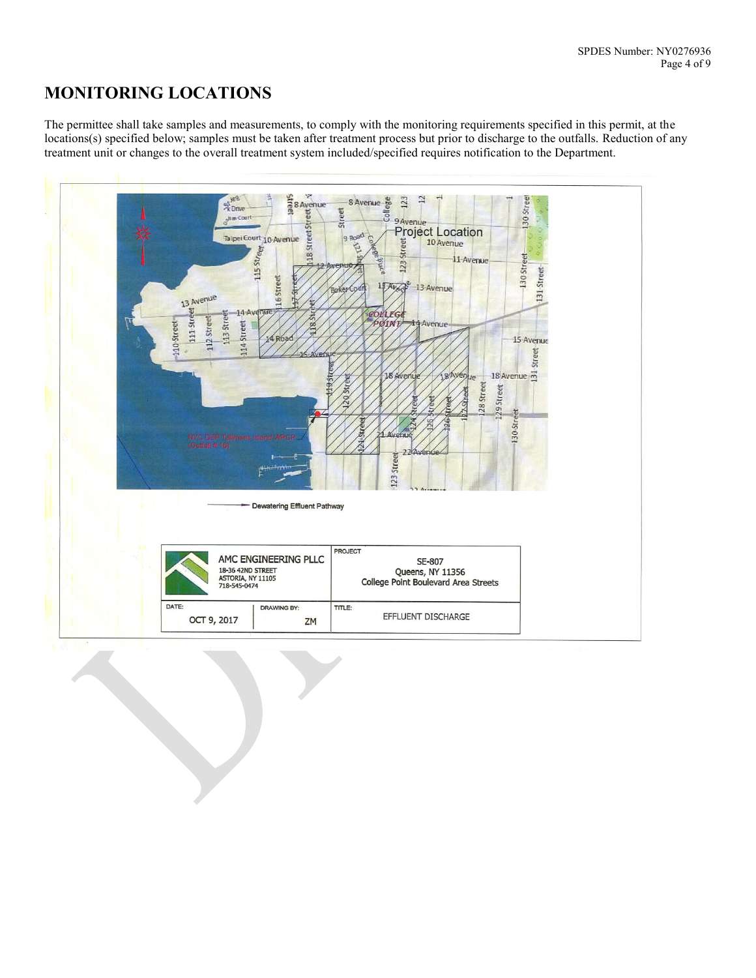# **MONITORING LOCATIONS**

The permittee shall take samples and measurements, to comply with the monitoring requirements specified in this permit, at the locations(s) specified below; samples must be taken after treatment process but prior to discharge to the outfalls. Reduction of any treatment unit or changes to the overall treatment system included/specified requires notification to the Department.

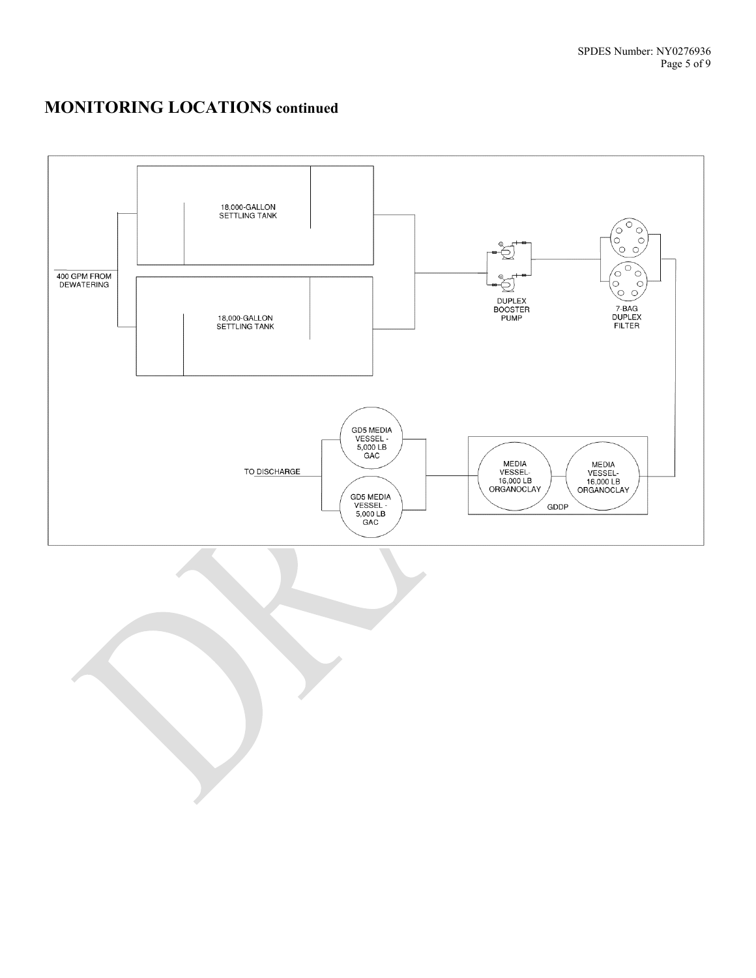# **MONITORING LOCATIONS continued**

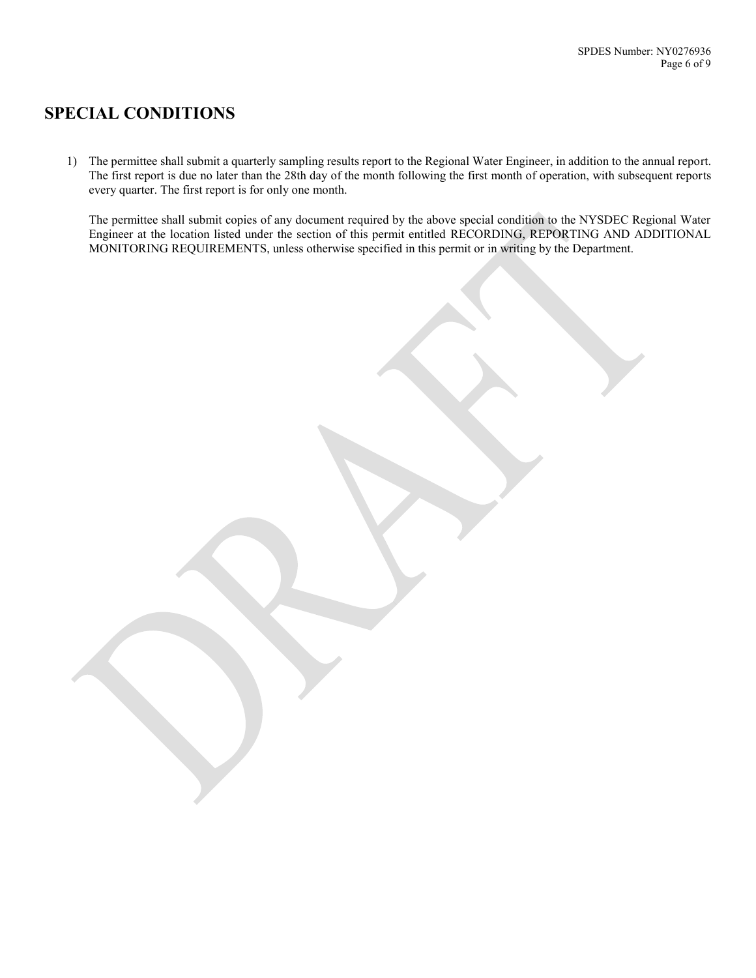## **SPECIAL CONDITIONS**

1) The permittee shall submit a quarterly sampling results report to the Regional Water Engineer, in addition to the annual report. The first report is due no later than the 28th day of the month following the first month of operation, with subsequent reports every quarter. The first report is for only one month.

The permittee shall submit copies of any document required by the above special condition to the NYSDEC Regional Water Engineer at the location listed under the section of this permit entitled RECORDING, REPORTING AND ADDITIONAL MONITORING REQUIREMENTS, unless otherwise specified in this permit or in writing by the Department.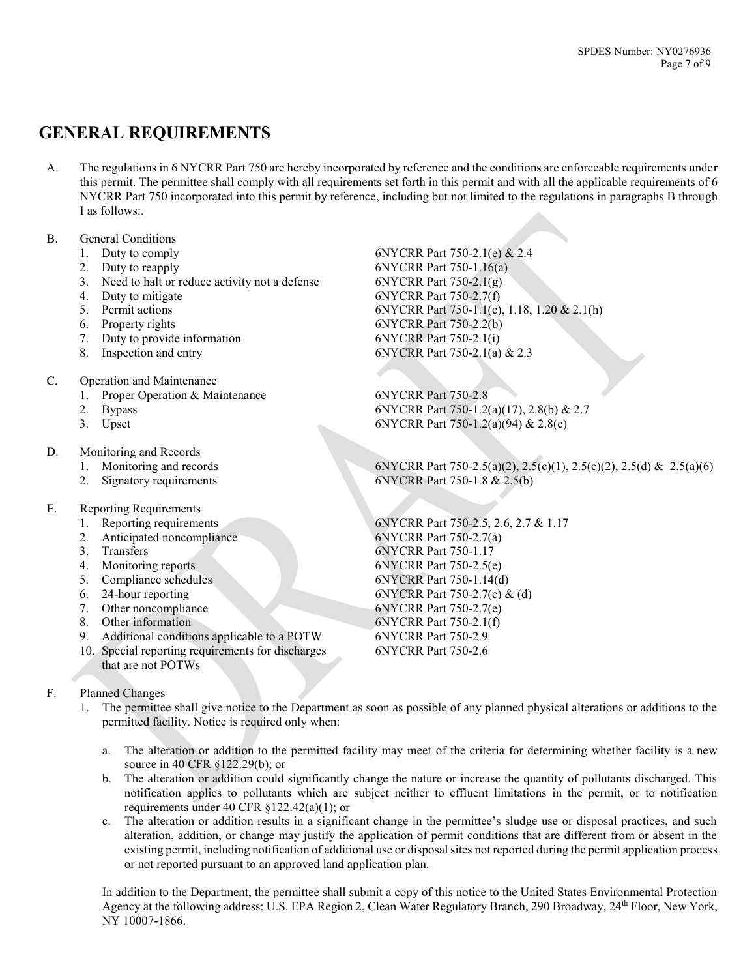## **GENERAL REQUIREMENTS**

A. The regulations in 6 NYCRR Part 750 are hereby incorporated by reference and the conditions are enforceable requirements under this permit. The permittee shall comply with all requirements set forth in this permit and with all the applicable requirements of 6 NYCRR Part 750 incorporated into this permit by reference, including but not limited to the regulations in paragraphs B through I as follows:.

#### B. General Conditions

- 
- 
- 3. Need to halt or reduce activity not a defense 6NYCRR Part 750-2.1(g)
- 
- 
- 
- 7. Duty to provide information 6NYCRR Part 750-2.1(i)
- 
- C. Operation and Maintenance
	- 1. Proper Operation & Maintenance 6NYCRR Part 750-2.8
	-
	-
- D. Monitoring and Records
	-
	-
- E. Reporting Requirements
	-
	- 2. Anticipated noncompliance 6NYCRR Part 750-2.7(a)
	-
	-
	-
	-
	- 7. Other noncompliance 6NYCRR Part 750-2.7(e)
	-
	- 9. Additional conditions applicable to a POTW 6NYCRR Part 750-2.9
	- 10. Special reporting requirements for discharges that are not POTWs
- F. Planned Changes
	- 1. The permittee shall give notice to the Department as soon as possible of any planned physical alterations or additions to the permitted facility. Notice is required only when:
		- a. The alteration or addition to the permitted facility may meet of the criteria for determining whether facility is a new source in 40 CFR §122.29(b); or
		- b. The alteration or addition could significantly change the nature or increase the quantity of pollutants discharged. This notification applies to pollutants which are subject neither to effluent limitations in the permit, or to notification requirements under 40 CFR §122.42(a)(1); or
		- c. The alteration or addition results in a significant change in the permittee's sludge use or disposal practices, and such alteration, addition, or change may justify the application of permit conditions that are different from or absent in the existing permit, including notification of additional use or disposal sites not reported during the permit application process or not reported pursuant to an approved land application plan.

In addition to the Department, the permittee shall submit a copy of this notice to the United States Environmental Protection Agency at the following address: U.S. EPA Region 2, Clean Water Regulatory Branch, 290 Broadway, 24th Floor, New York, NY 10007-1866.

1. Duty to comply 6NYCRR Part 750-2.1(e) & 2.4 2. Duty to reapply 6NYCRR Part 750-1.16(a) 4. Duty to mitigate 6NYCRR Part 750-2.7(f) 5. Permit actions 6NYCRR Part 750-1.1(c), 1.18, 1.20 & 2.1(h) 6. Property rights 6NYCRR Part 750-2.2(b) 8. Inspection and entry 6NYCRR Part 750-2.1(a) & 2.3

2. Bypass 6NYCRR Part 750-1.2(a)(17), 2.8(b) & 2.7 3. Upset 6NYCRR Part 750-1.2(a)(94) & 2.8(c)

1. Monitoring and records 6NYCRR Part 750-2.5(a)(2), 2.5(c)(1), 2.5(c)(2), 2.5(d) & 2.5(a)(6) 2. Signatory requirements 6NYCRR Part 750-1.8 & 2.5(b)

1. Reporting requirements 6NYCRR Part 750-2.5, 2.6, 2.7 & 1.17 3. Transfers 6NYCRR Part 750-1.17 4. Monitoring reports 6NYCRR Part 750-2.5(e) 5. Compliance schedules 6NYCRR Part 750-1.14(d) 6. 24-hour reporting 6NYCRR Part 750-2.7(c) & (d) 8. Other information 6NYCRR Part 750-2.1(f) 6NYCRR Part 750-2.6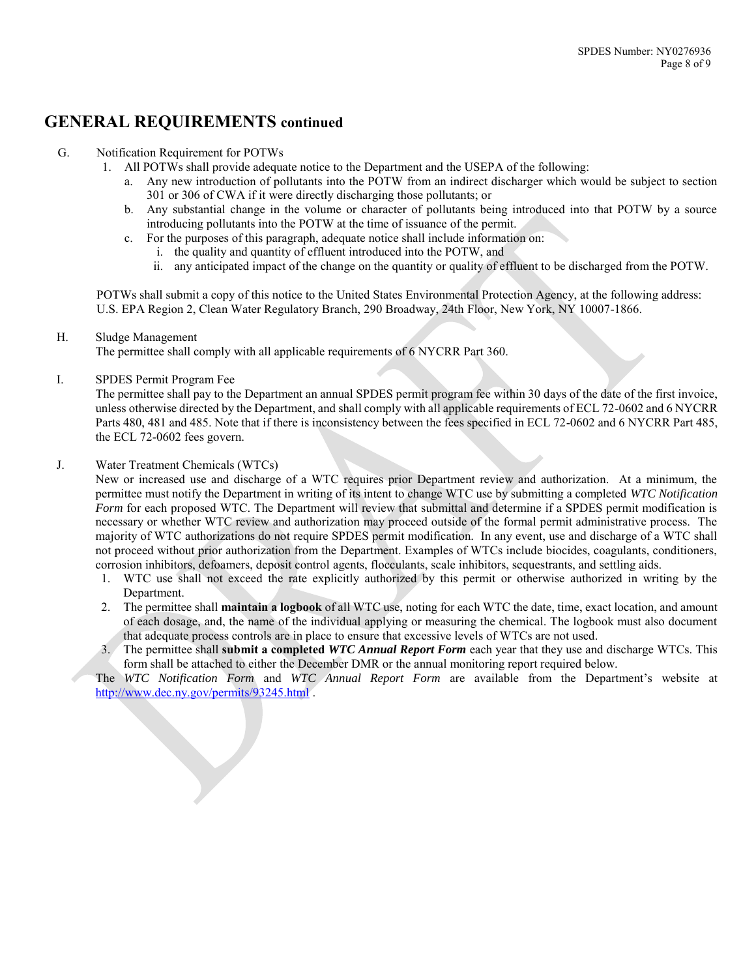## **GENERAL REQUIREMENTS continued**

#### G. Notification Requirement for POTWs

- 1. All POTWs shall provide adequate notice to the Department and the USEPA of the following:
	- a. Any new introduction of pollutants into the POTW from an indirect discharger which would be subject to section 301 or 306 of CWA if it were directly discharging those pollutants; or
	- b. Any substantial change in the volume or character of pollutants being introduced into that POTW by a source introducing pollutants into the POTW at the time of issuance of the permit.
	- c. For the purposes of this paragraph, adequate notice shall include information on:
		- i. the quality and quantity of effluent introduced into the POTW, and
		- ii. any anticipated impact of the change on the quantity or quality of effluent to be discharged from the POTW.

POTWs shall submit a copy of this notice to the United States Environmental Protection Agency, at the following address: U.S. EPA Region 2, Clean Water Regulatory Branch, 290 Broadway, 24th Floor, New York, NY 10007-1866.

#### H. Sludge Management

The permittee shall comply with all applicable requirements of 6 NYCRR Part 360.

#### I. SPDES Permit Program Fee

The permittee shall pay to the Department an annual SPDES permit program fee within 30 days of the date of the first invoice, unless otherwise directed by the Department, and shall comply with all applicable requirements of ECL 72-0602 and 6 NYCRR Parts 480, 481 and 485. Note that if there is inconsistency between the fees specified in ECL 72-0602 and 6 NYCRR Part 485, the ECL 72-0602 fees govern.

#### J. Water Treatment Chemicals (WTCs)

New or increased use and discharge of a WTC requires prior Department review and authorization. At a minimum, the permittee must notify the Department in writing of its intent to change WTC use by submitting a completed *WTC Notification Form* for each proposed WTC. The Department will review that submittal and determine if a SPDES permit modification is necessary or whether WTC review and authorization may proceed outside of the formal permit administrative process. The majority of WTC authorizations do not require SPDES permit modification. In any event, use and discharge of a WTC shall not proceed without prior authorization from the Department. Examples of WTCs include biocides, coagulants, conditioners, corrosion inhibitors, defoamers, deposit control agents, flocculants, scale inhibitors, sequestrants, and settling aids.

- 1. WTC use shall not exceed the rate explicitly authorized by this permit or otherwise authorized in writing by the Department.
- 2. The permittee shall **maintain a logbook** of all WTC use, noting for each WTC the date, time, exact location, and amount of each dosage, and, the name of the individual applying or measuring the chemical. The logbook must also document that adequate process controls are in place to ensure that excessive levels of WTCs are not used.
- 3. The permittee shall **submit a completed** *WTC Annual Report Form* each year that they use and discharge WTCs. This form shall be attached to either the December DMR or the annual monitoring report required below.

The *WTC Notification Form* and *WTC Annual Report Form* are available from the Department's website at <http://www.dec.ny.gov/permits/93245.html> .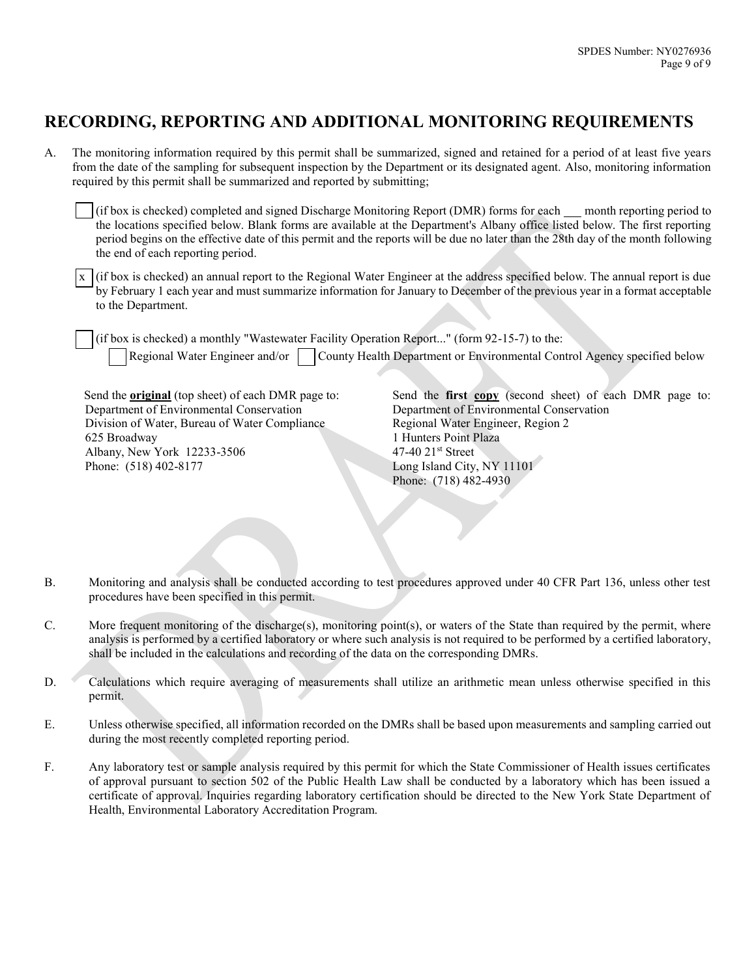## **RECORDING, REPORTING AND ADDITIONAL MONITORING REQUIREMENTS**

A. The monitoring information required by this permit shall be summarized, signed and retained for a period of at least five years from the date of the sampling for subsequent inspection by the Department or its designated agent. Also, monitoring information required by this permit shall be summarized and reported by submitting;

(if box is checked) completed and signed Discharge Monitoring Report (DMR) forms for each month reporting period to the locations specified below. Blank forms are available at the Department's Albany office listed below. The first reporting period begins on the effective date of this permit and the reports will be due no later than the 28th day of the month following the end of each reporting period.

x (if box is checked) an annual report to the Regional Water Engineer at the address specified below. The annual report is due by February 1 each year and must summarize information for January to December of the previous year in a format acceptable to the Department.

(if box is checked) a monthly "Wastewater Facility Operation Report..." (form 92-15-7) to the: Regional Water Engineer and/or County Health Department or Environmental Control Agency specified below

Send the **original** (top sheet) of each DMR page to: Department of Environmental Conservation Division of Water, Bureau of Water Compliance 625 Broadway Albany, New York 12233-3506 Phone: (518) 402-8177

Send the **first copy** (second sheet) of each DMR page to: Department of Environmental Conservation Regional Water Engineer, Region 2 1 Hunters Point Plaza 47-40 21st Street Long Island City, NY 11101 Phone: (718) 482-4930

- B. Monitoring and analysis shall be conducted according to test procedures approved under 40 CFR Part 136, unless other test procedures have been specified in this permit.
- C. More frequent monitoring of the discharge(s), monitoring point(s), or waters of the State than required by the permit, where analysis is performed by a certified laboratory or where such analysis is not required to be performed by a certified laboratory, shall be included in the calculations and recording of the data on the corresponding DMRs.
- D. Calculations which require averaging of measurements shall utilize an arithmetic mean unless otherwise specified in this permit.
- E. Unless otherwise specified, all information recorded on the DMRs shall be based upon measurements and sampling carried out during the most recently completed reporting period.
- F. Any laboratory test or sample analysis required by this permit for which the State Commissioner of Health issues certificates of approval pursuant to section 502 of the Public Health Law shall be conducted by a laboratory which has been issued a certificate of approval. Inquiries regarding laboratory certification should be directed to the New York State Department of Health, Environmental Laboratory Accreditation Program.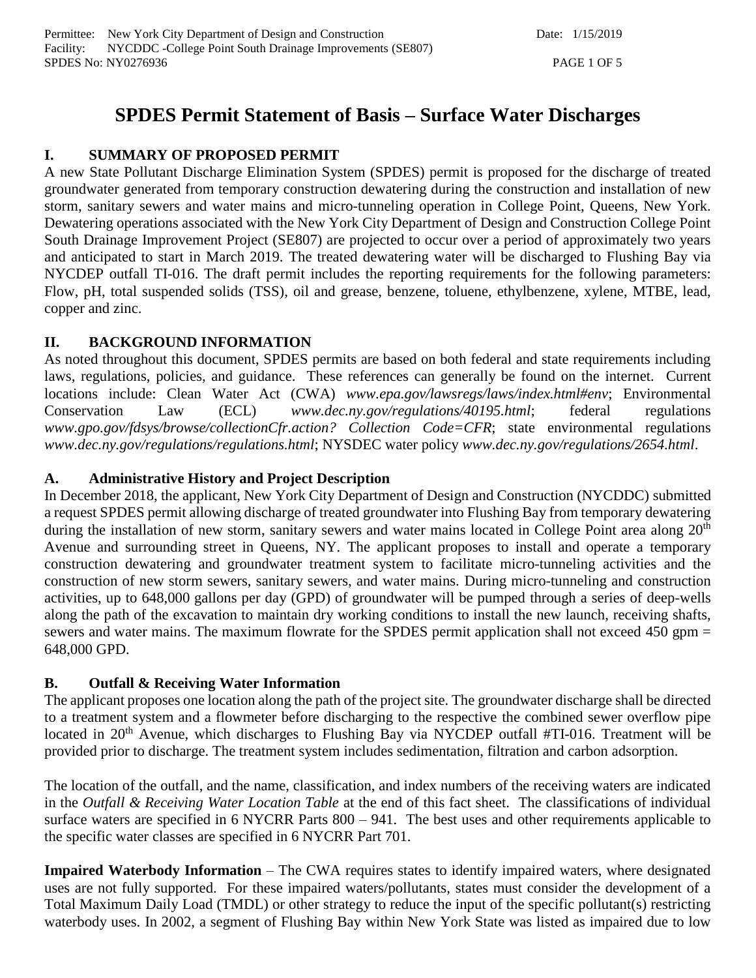# **SPDES Permit Statement of Basis – Surface Water Discharges**

## **I. SUMMARY OF PROPOSED PERMIT**

A new State Pollutant Discharge Elimination System (SPDES) permit is proposed for the discharge of treated groundwater generated from temporary construction dewatering during the construction and installation of new storm, sanitary sewers and water mains and micro-tunneling operation in College Point, Queens, New York. Dewatering operations associated with the New York City Department of Design and Construction College Point South Drainage Improvement Project (SE807) are projected to occur over a period of approximately two years and anticipated to start in March 2019. The treated dewatering water will be discharged to Flushing Bay via NYCDEP outfall TI-016. The draft permit includes the reporting requirements for the following parameters: Flow, pH, total suspended solids (TSS), oil and grease, benzene, toluene, ethylbenzene, xylene, MTBE, lead, copper and zinc.

## **II. BACKGROUND INFORMATION**

As noted throughout this document, SPDES permits are based on both federal and state requirements including laws, regulations, policies, and guidance. These references can generally be found on the internet. Current locations include: Clean Water Act (CWA) *www.epa.gov/lawsregs/laws/index.html#env*; Environmental Conservation Law (ECL) *www.dec.ny.gov/regulations/40195.html*; federal regulations *www.gpo.gov/fdsys/browse/collectionCfr.action? Collection Code=CFR*; state environmental regulations *www.dec.ny.gov/regulations/regulations.html*; NYSDEC water policy *www.dec.ny.gov/regulations/2654.html*.

## **A. Administrative History and Project Description**

In December 2018, the applicant, New York City Department of Design and Construction (NYCDDC) submitted a request SPDES permit allowing discharge of treated groundwater into Flushing Bay from temporary dewatering during the installation of new storm, sanitary sewers and water mains located in College Point area along 20<sup>th</sup> Avenue and surrounding street in Queens, NY. The applicant proposes to install and operate a temporary construction dewatering and groundwater treatment system to facilitate micro-tunneling activities and the construction of new storm sewers, sanitary sewers, and water mains. During micro-tunneling and construction activities, up to 648,000 gallons per day (GPD) of groundwater will be pumped through a series of deep-wells along the path of the excavation to maintain dry working conditions to install the new launch, receiving shafts, sewers and water mains. The maximum flowrate for the SPDES permit application shall not exceed 450 gpm = 648,000 GPD.

## **B. Outfall & Receiving Water Information**

The applicant proposes one location along the path of the project site. The groundwater discharge shall be directed to a treatment system and a flowmeter before discharging to the respective the combined sewer overflow pipe located in 20<sup>th</sup> Avenue, which discharges to Flushing Bay via NYCDEP outfall #TI-016. Treatment will be provided prior to discharge. The treatment system includes sedimentation, filtration and carbon adsorption.

The location of the outfall, and the name, classification, and index numbers of the receiving waters are indicated in the *Outfall & Receiving Water Location Table* at the end of this fact sheet. The classifications of individual surface waters are specified in 6 NYCRR Parts 800 – 941. The best uses and other requirements applicable to the specific water classes are specified in 6 NYCRR Part 701.

**Impaired Waterbody Information** – The CWA requires states to identify impaired waters, where designated uses are not fully supported. For these impaired waters/pollutants, states must consider the development of a Total Maximum Daily Load (TMDL) or other strategy to reduce the input of the specific pollutant(s) restricting waterbody uses. In 2002, a segment of Flushing Bay within New York State was listed as impaired due to low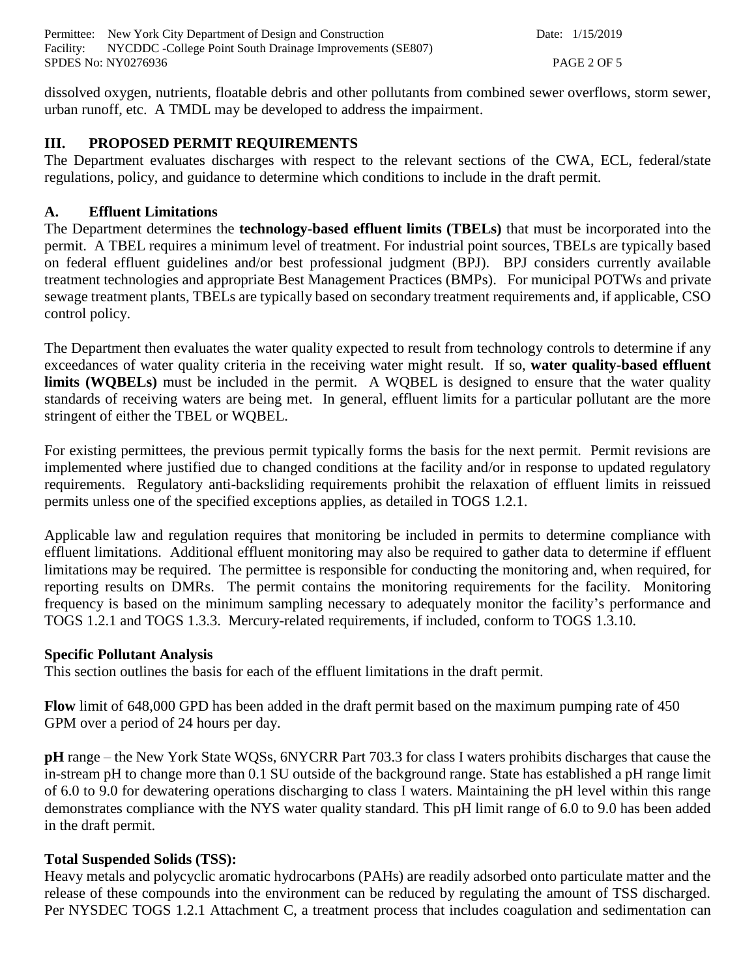Permittee: New York City Department of Design and Construction Date: 1/15/2019 Facility: NYCDDC -College Point South Drainage Improvements (SE807) SPDES No: NY0276936 PAGE 2 OF 5

dissolved oxygen, nutrients, floatable debris and other pollutants from combined sewer overflows, storm sewer, urban runoff, etc. A TMDL may be developed to address the impairment.

## **III. PROPOSED PERMIT REQUIREMENTS**

The Department evaluates discharges with respect to the relevant sections of the CWA, ECL, federal/state regulations, policy, and guidance to determine which conditions to include in the draft permit.

### **A. Effluent Limitations**

The Department determines the **technology-based effluent limits (TBELs)** that must be incorporated into the permit. A TBEL requires a minimum level of treatment. For industrial point sources, TBELs are typically based on federal effluent guidelines and/or best professional judgment (BPJ). BPJ considers currently available treatment technologies and appropriate Best Management Practices (BMPs). For municipal POTWs and private sewage treatment plants, TBELs are typically based on secondary treatment requirements and, if applicable, CSO control policy.

The Department then evaluates the water quality expected to result from technology controls to determine if any exceedances of water quality criteria in the receiving water might result. If so, **water quality-based effluent limits (WQBELs)** must be included in the permit. A WQBEL is designed to ensure that the water quality standards of receiving waters are being met. In general, effluent limits for a particular pollutant are the more stringent of either the TBEL or WQBEL.

For existing permittees, the previous permit typically forms the basis for the next permit. Permit revisions are implemented where justified due to changed conditions at the facility and/or in response to updated regulatory requirements. Regulatory anti-backsliding requirements prohibit the relaxation of effluent limits in reissued permits unless one of the specified exceptions applies, as detailed in TOGS 1.2.1.

Applicable law and regulation requires that monitoring be included in permits to determine compliance with effluent limitations. Additional effluent monitoring may also be required to gather data to determine if effluent limitations may be required. The permittee is responsible for conducting the monitoring and, when required, for reporting results on DMRs. The permit contains the monitoring requirements for the facility. Monitoring frequency is based on the minimum sampling necessary to adequately monitor the facility's performance and TOGS 1.2.1 and TOGS 1.3.3. Mercury-related requirements, if included, conform to TOGS 1.3.10.

#### **Specific Pollutant Analysis**

This section outlines the basis for each of the effluent limitations in the draft permit.

**Flow** limit of 648,000 GPD has been added in the draft permit based on the maximum pumping rate of 450 GPM over a period of 24 hours per day.

**pH** range – the New York State WQSs, 6NYCRR Part 703.3 for class I waters prohibits discharges that cause the in-stream pH to change more than 0.1 SU outside of the background range. State has established a pH range limit of 6.0 to 9.0 for dewatering operations discharging to class I waters. Maintaining the pH level within this range demonstrates compliance with the NYS water quality standard. This pH limit range of 6.0 to 9.0 has been added in the draft permit.

#### **Total Suspended Solids (TSS):**

Heavy metals and polycyclic aromatic hydrocarbons (PAHs) are readily adsorbed onto particulate matter and the release of these compounds into the environment can be reduced by regulating the amount of TSS discharged. Per NYSDEC TOGS 1.2.1 Attachment C, a treatment process that includes coagulation and sedimentation can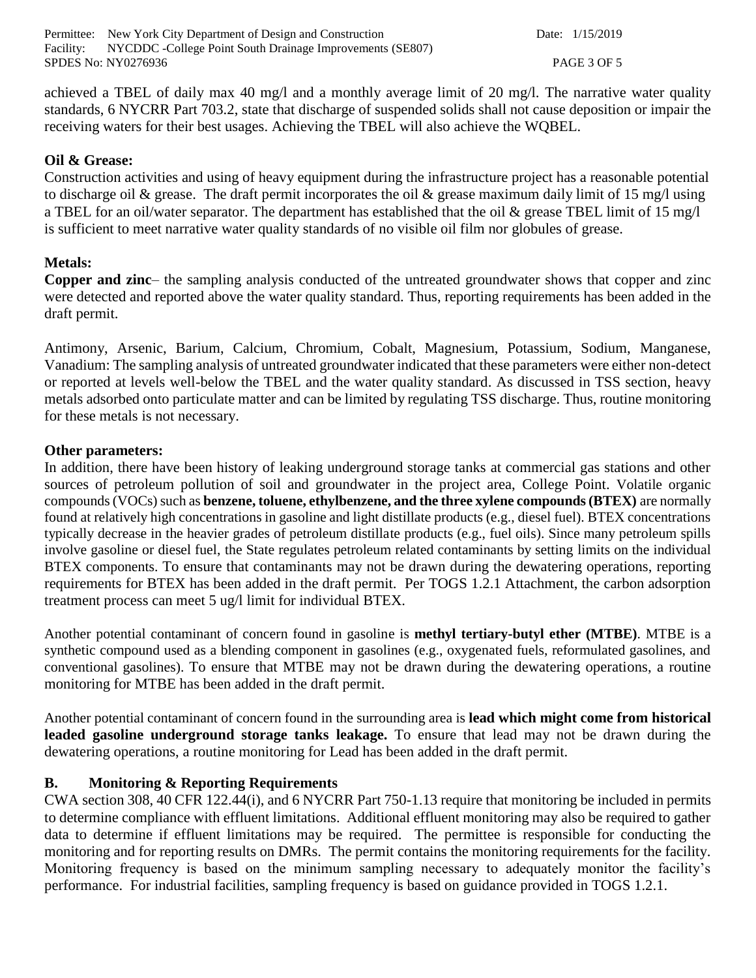Permittee: New York City Department of Design and Construction Date: 1/15/2019 Facility: NYCDDC -College Point South Drainage Improvements (SE807) SPDES No: NY0276936 PAGE 3 OF 5

achieved a TBEL of daily max 40 mg/l and a monthly average limit of 20 mg/l. The narrative water quality standards, 6 NYCRR Part 703.2, state that discharge of suspended solids shall not cause deposition or impair the receiving waters for their best usages. Achieving the TBEL will also achieve the WQBEL.

#### **Oil & Grease:**

Construction activities and using of heavy equipment during the infrastructure project has a reasonable potential to discharge oil & grease. The draft permit incorporates the oil & grease maximum daily limit of 15 mg/l using a TBEL for an oil/water separator. The department has established that the oil & grease TBEL limit of 15 mg/l is sufficient to meet narrative water quality standards of no visible oil film nor globules of grease.

#### **Metals:**

**Copper and zinc**– the sampling analysis conducted of the untreated groundwater shows that copper and zinc were detected and reported above the water quality standard. Thus, reporting requirements has been added in the draft permit.

Antimony, Arsenic, Barium, Calcium, Chromium, Cobalt, Magnesium, Potassium, Sodium, Manganese, Vanadium: The sampling analysis of untreated groundwater indicated that these parameters were either non-detect or reported at levels well-below the TBEL and the water quality standard. As discussed in TSS section, heavy metals adsorbed onto particulate matter and can be limited by regulating TSS discharge. Thus, routine monitoring for these metals is not necessary.

#### **Other parameters:**

In addition, there have been history of leaking underground storage tanks at commercial gas stations and other sources of petroleum pollution of soil and groundwater in the project area, College Point. Volatile organic compounds (VOCs) such as **benzene, toluene, ethylbenzene, and the three xylene compounds (BTEX)** are normally found at relatively high concentrations in gasoline and light distillate products (e.g., diesel fuel). BTEX concentrations typically decrease in the heavier grades of petroleum distillate products (e.g., fuel oils). Since many petroleum spills involve gasoline or diesel fuel, the State regulates petroleum related contaminants by setting limits on the individual BTEX components. To ensure that contaminants may not be drawn during the dewatering operations, reporting requirements for BTEX has been added in the draft permit. Per TOGS 1.2.1 Attachment, the carbon adsorption treatment process can meet 5 ug/l limit for individual BTEX.

Another potential contaminant of concern found in gasoline is **methyl tertiary-butyl ether (MTBE)**. MTBE is a synthetic compound used as a blending component in gasolines (e.g., oxygenated fuels, reformulated gasolines, and conventional gasolines). To ensure that MTBE may not be drawn during the dewatering operations, a routine monitoring for MTBE has been added in the draft permit.

Another potential contaminant of concern found in the surrounding area is **lead which might come from historical leaded gasoline underground storage tanks leakage.** To ensure that lead may not be drawn during the dewatering operations, a routine monitoring for Lead has been added in the draft permit.

#### **B. Monitoring & Reporting Requirements**

CWA section 308, 40 CFR 122.44(i), and 6 NYCRR Part 750-1.13 require that monitoring be included in permits to determine compliance with effluent limitations. Additional effluent monitoring may also be required to gather data to determine if effluent limitations may be required. The permittee is responsible for conducting the monitoring and for reporting results on DMRs. The permit contains the monitoring requirements for the facility. Monitoring frequency is based on the minimum sampling necessary to adequately monitor the facility's performance. For industrial facilities, sampling frequency is based on guidance provided in TOGS 1.2.1.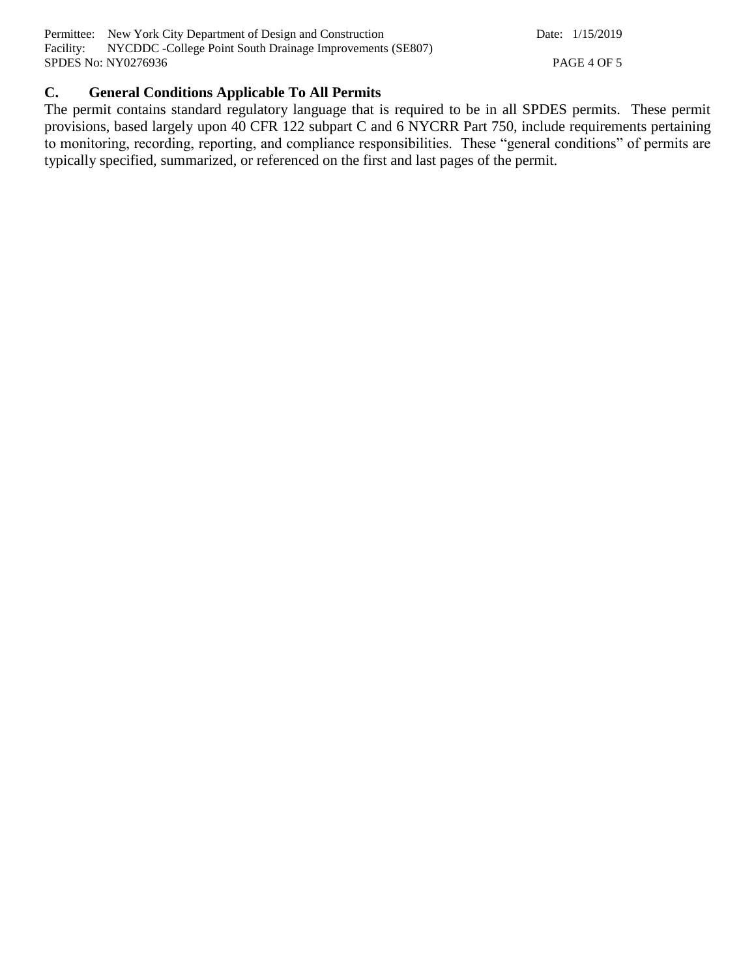Permittee: New York City Department of Design and Construction Date: 1/15/2019 Facility: NYCDDC -College Point South Drainage Improvements (SE807) SPDES No: NY0276936 PAGE 4 OF 5

## **C. General Conditions Applicable To All Permits**

The permit contains standard regulatory language that is required to be in all SPDES permits. These permit provisions, based largely upon 40 CFR 122 subpart C and 6 NYCRR Part 750, include requirements pertaining to monitoring, recording, reporting, and compliance responsibilities. These "general conditions" of permits are typically specified, summarized, or referenced on the first and last pages of the permit.